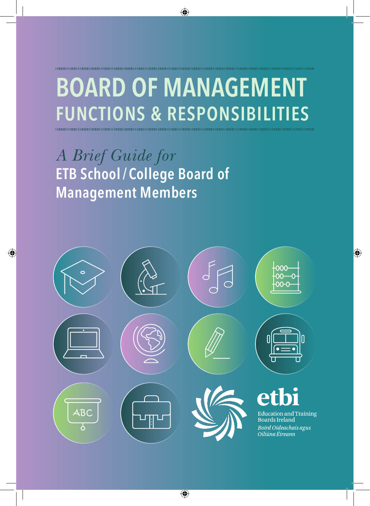# **Board of Management Functions & Responsibilities**

*A Brief Guide for* **ETB School / College Board of Management Members**

1000000000000000000000

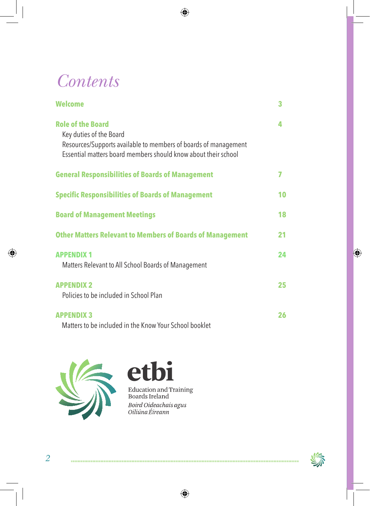# *Contents*

| <b>Welcome</b>                                                                                                                                                                           | 3  |
|------------------------------------------------------------------------------------------------------------------------------------------------------------------------------------------|----|
| <b>Role of the Board</b><br>Key duties of the Board<br>Resources/Supports available to members of boards of management<br>Essential matters board members should know about their school | Δ. |
| <b>General Responsibilities of Boards of Management</b>                                                                                                                                  | 7  |
| <b>Specific Responsibilities of Boards of Management</b>                                                                                                                                 | 10 |
| <b>Board of Management Meetings</b>                                                                                                                                                      | 18 |
| <b>Other Matters Relevant to Members of Boards of Management</b>                                                                                                                         | 21 |
| <b>APPENDIX 1</b><br>Matters Relevant to All School Boards of Management                                                                                                                 | 24 |
| <b>APPENDIX 2</b><br>Policies to be included in School Plan                                                                                                                              | 25 |
| <b>APPENDIX 3</b><br>Matters to be included in the Know Your School booklet                                                                                                              | 26 |



## bi et

Education and Training<br>Boards Ireland Boird Oideachais agus<br>Oiliúna Éireann

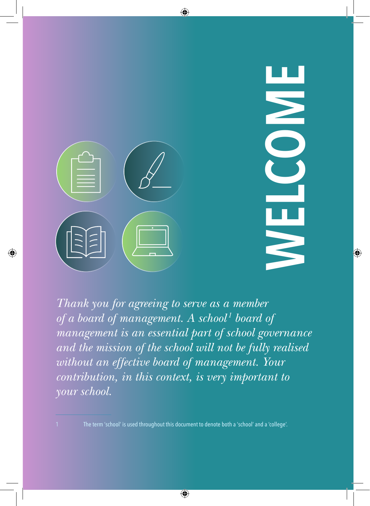

*Thank you for agreeing to serve as a member of a board of management. A school<sup>1</sup> board of management is an essential part of school governance and the mission of the school will not be fully realised without an effective board of management. Your contribution, in this context, is very important to your school.*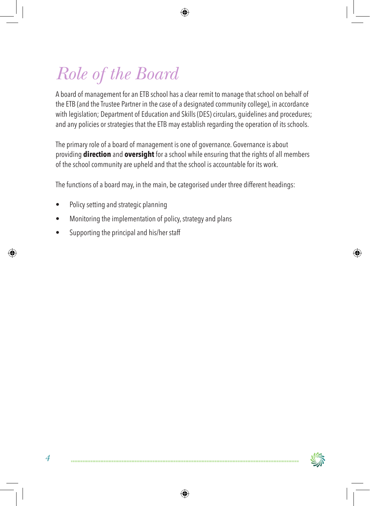# *Role of the Board*

A board of management for an ETB school has a clear remit to manage that school on behalf of the ETB (and the Trustee Partner in the case of a designated community college), in accordance with legislation; Department of Education and Skills (DES) circulars, guidelines and procedures; and any policies or strategies that the ETB may establish regarding the operation of its schools.

The primary role of a board of management is one of governance. Governance is about providing **direction** and **oversight** for a school while ensuring that the rights of all members of the school community are upheld and that the school is accountable for its work.

The functions of a board may, in the main, be categorised under three different headings:

- Policy setting and strategic planning
- Monitoring the implementation of policy, strategy and plans
- Supporting the principal and his/her staff

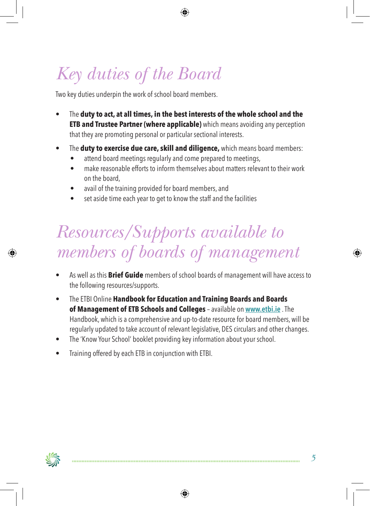# *Key duties of the Board*

Two key duties underpin the work of school board members.

- • The **duty to act, at all times, in the best interests of the whole school and the ETB and Trustee Partner (where applicable)** which means avoiding any perception that they are promoting personal or particular sectional interests.
- • The **duty to exercise due care, skill and diligence,** which means board members:
	- attend board meetings regularly and come prepared to meetings,
	- make reasonable efforts to inform themselves about matters relevant to their work on the board,
	- avail of the training provided for board members, and
	- set aside time each year to get to know the staff and the facilities

# *Resources/Supports available to members of boards of management*

- As well as this **Brief Guide** members of school boards of management will have access to the following resources/supports.
- • The ETBI Online **Handbook for Education and Training Boards and Boards of Management of ETB Schools and Colleges** – available on **www.etbi.ie** . The Handbook, which is a comprehensive and up-to-date resource for board members, will be regularly updated to take account of relevant legislative, DES circulars and other changes.
- The 'Know Your School' booklet providing key information about your school.
- Training offered by each ETB in conjunction with ETBI.

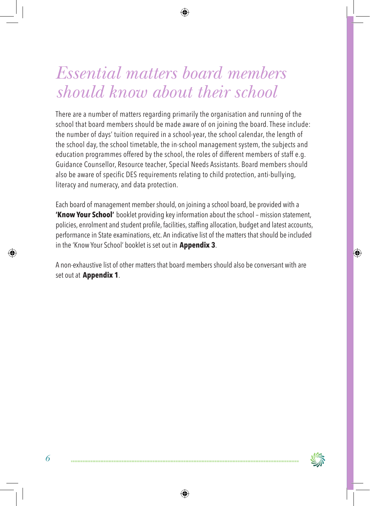# *Essential matters board members should know about their school*

There are a number of matters regarding primarily the organisation and running of the school that board members should be made aware of on joining the board. These include: the number of days' tuition required in a school-year, the school calendar, the length of the school day, the school timetable, the in-school management system, the subjects and education programmes offered by the school, the roles of different members of staff e.g. Guidance Counsellor, Resource teacher, Special Needs Assistants. Board members should also be aware of specific DES requirements relating to child protection, anti-bullying, literacy and numeracy, and data protection.

Each board of management member should, on joining a school board, be provided with a **'Know Your School'** booklet providing key information about the school – mission statement, policies, enrolment and student profile, facilities, staffing allocation, budget and latest accounts, performance in State examinations, etc. An indicative list of the matters that should be included in the 'Know Your School' booklet is set out in **Appendix 3**.

A non-exhaustive list of other matters that board members should also be conversant with are set out at **Appendix 1**.

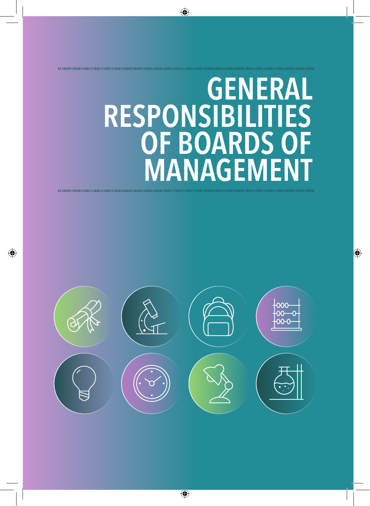# **General Responsibilities OF BOARDS O MANAGEMEN**

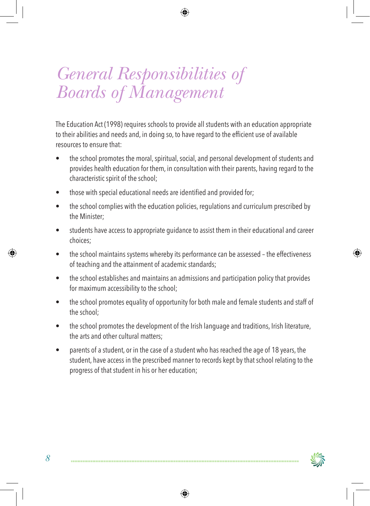# *General Responsibilities of Boards of Management*

The Education Act (1998) requires schools to provide all students with an education appropriate to their abilities and needs and, in doing so, to have regard to the efficient use of available resources to ensure that:

- the school promotes the moral, spiritual, social, and personal development of students and provides health education for them, in consultation with their parents, having regard to the characteristic spirit of the school;
- those with special educational needs are identified and provided for:
- the school complies with the education policies, regulations and curriculum prescribed by the Minister;
- students have access to appropriate quidance to assist them in their educational and career choices;
- the school maintains systems whereby its performance can be assessed the effectiveness of teaching and the attainment of academic standards;
- the school establishes and maintains an admissions and participation policy that provides for maximum accessibility to the school;
- the school promotes equality of opportunity for both male and female students and staff of the school;
- the school promotes the development of the Irish language and traditions, Irish literature, the arts and other cultural matters;
- parents of a student, or in the case of a student who has reached the age of 18 years, the student, have access in the prescribed manner to records kept by that school relating to the progress of that student in his or her education;

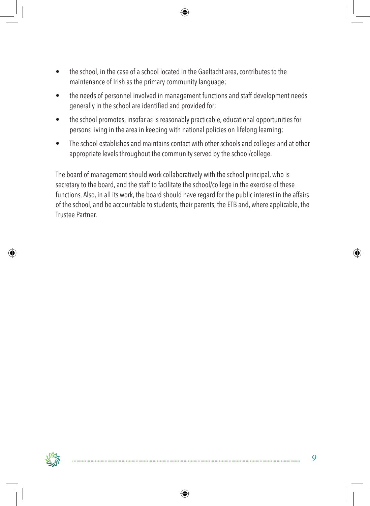- the school, in the case of a school located in the Gaeltacht area, contributes to the maintenance of Irish as the primary community language;
- the needs of personnel involved in management functions and staff development needs generallyin the school are identified and provided for;
- the school promotes, insofar as is reasonably practicable, educational opportunities for persons living in the area in keeping with national policies on lifelong learning;
- The school establishes and maintains contact with other schools and colleges and at other appropriate levels throughout the community served by the school/college.

The board of management should work collaboratively with the school principal, who is secretary to the board, and the staff to facilitate the school/college in the exercise of these functions. Also, in all its work, the board should have regard for the public interest in the affairs of the school, and be accountable to students, their parents, the ETB and, where applicable, the Trustee Partner.

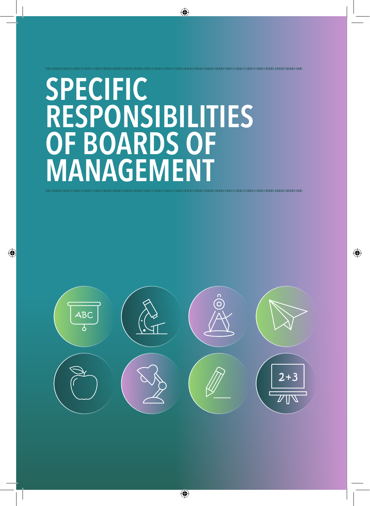# **Specific Responsibilities of Boards of Management**

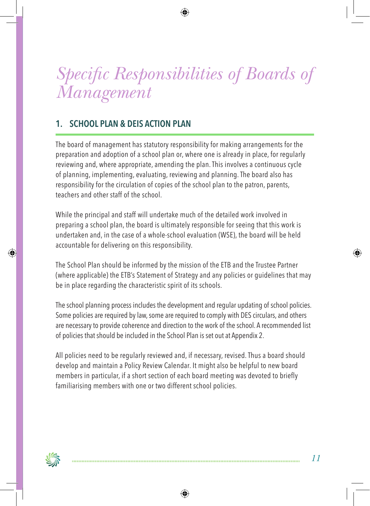# *Specific Responsibilities of Boards of Management*

## **1. School Plan & DEIS Action Plan**

The board of management has statutory responsibility for making arrangements for the preparation and adoption of a school plan or, where one is already in place, for regularly reviewing and, where appropriate, amending the plan. This involves a continuous cycle of planning, implementing, evaluating, reviewing and planning. The board also has responsibility for the circulation of copies of the school plan to the patron, parents, teachers and other staff of the school.

While the principal and staff will undertake much of the detailed work involved in preparing a school plan, the board is ultimately responsible for seeing that this work is undertaken and, in the case of a whole-school evaluation (WSE), the board will be held accountable for delivering on this responsibility.

The School Plan should be informed by the mission of the ETB and the Trustee Partner (where applicable) the ETB's Statement of Strategy and any policies or guidelines that may be in place regarding the characteristic spirit of its schools.

The school planning process includes the development and regular updating of school policies. Some policies are required by law, some are required to comply with DES circulars, and others are necessary to provide coherence and direction to the work of the school. A recommended list of policies that should be included in the School Plan is set out at Appendix 2.

All policies need to be regularly reviewed and, if necessary, revised. Thus a board should develop and maintain a Policy Review Calendar. It might also be helpful to new board members in particular, if a short section of each board meeting was devoted to briefly familiarising members with one or two different school policies.

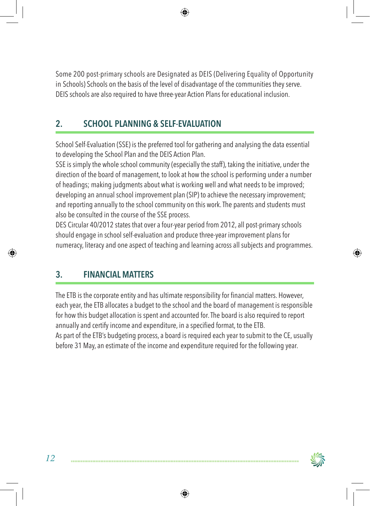Some 200 post-primary schools are Designated as DEIS (Delivering Equality of Opportunity in Schools) Schools on the basis of the level of disadvantage of the communities they serve. DEIS schools are also required to have three-year Action Plans for educational inclusion.

## **2. School Planning & Self-Evaluation**

School Self-Evaluation (SSE) is the preferred tool for gathering and analysing the data essential to developing the School Plan and the DEIS Action Plan.

SSE is simply the whole school community (especially the staff), taking the initiative, under the direction of the board of management, to look at how the school is performing under a number of headings; making judgments about what is working well and what needs to be improved; developing an annual school improvement plan (SIP) to achieve the necessary improvement; and reporting annually to the school community on this work. The parents and students must also be consulted in the course of the SSE process.

DES Circular 40/2012 states that over a four-year period from 2012, all post-primary schools should engage in school self-evaluation and produce three-year improvement plans for numeracy, literacy and one aspect of teaching and learning across all subjects and programmes.

# **3. Financial Matters**

The ETB is the corporate entity and has ultimate responsibility for financial matters. However, each year, the ETB allocates a budget to the school and the board of management is responsible for how this budget allocation is spent and accounted for. The board is also required to report annually and certify income and expenditure, in a specified format, to the ETB. As part of the ETB's budgeting process, a board is required each year to submit to the CE, usually before 31 May, an estimate of the income and expenditure required for the following year.

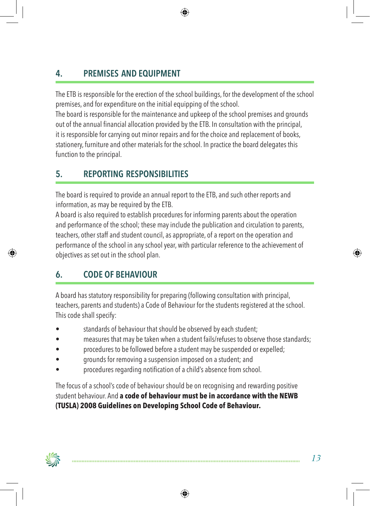# **4. Premises and Equipment**

The ETB is responsible for the erection of the school buildings, for the development of the school premises, and for expenditure on the initial equipping of the school.

The board is responsible for the maintenance and upkeep of the school premises and grounds out of the annual financial allocation provided bythe ETB. In consultation with the principal, it is responsible for carrying out minor repairs and for the choice and replacement of books, stationery, furniture and other materials for the school. In practice the board delegates this function to the principal.

## **5. Reporting Responsibilities**

The board is required to provide an annual report to the ETB, and such other reports and information, as may be required by the ETB.

A board is also required to establish procedures for informing parents about the operation and performance of the school; these may include the publication and circulation to parents, teachers, other staff and student council, as appropriate, of a report on the operation and performance of the school in any school year, with particular reference to the achievement of objectives as set out in the school plan.

# **6. Code of Behaviour**

A board has statutory responsibility for preparing (following consultation with principal, teachers, parents and students) a Code of Behaviour for the students registered at the school. This code shall specify:

- standards of behaviour that should be observed by each student;
- measures that may be taken when a student fails/refuses to observe those standards;
- procedures to be followed before a student may be suspended or expelled;
- grounds for removing a suspension imposed on a student; and
- procedures regarding notification of a child's absence from school.

The focus of a school's code of behaviour should be on recognising and rewarding positive student behaviour. And **a code of behaviour must be in accordance with the NEWB (TUSLA) 2008 Guidelines on Developing School Code of Behaviour.**

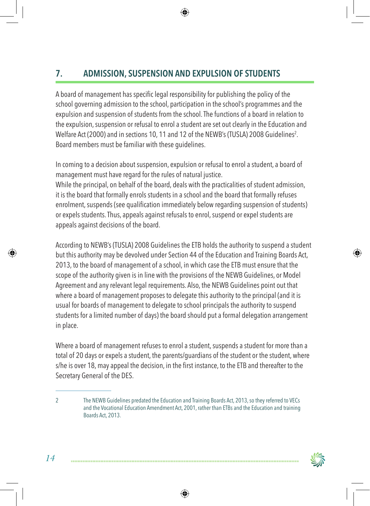# **7. Admission, Suspension and Expulsion of Students**

A board of management has specific legal responsibilityfor publishing the policy of the school governing admission to the school, participation in the school's programmes and the expulsion and suspension of students from the school. The functions of a board in relation to the expulsion, suspension or refusal to enrol a student are set out clearly in the Education and Welfare Act (2000) and in sections 10, 11 and 12 of the NEWB's (TUSLA) 2008 Guidelines $^2$ . Board members must be familiar with these guidelines.

In coming to a decision about suspension, expulsion or refusal to enrol a student, a board of management must have regard for the rules of natural justice.

While the principal, on behalf of the board, deals with the practicalities of student admission, it is the board that formally enrols students in a school and the board that formally refuses enrolment, suspends (see qualification immediately below regarding suspension of students) or expels students. Thus, appeals against refusals to enrol, suspend or expel students are appeals against decisions of the board.

According to NEWB's (TUSLA) 2008 Guidelines the ETB holds the authority to suspend a student but this authority may be devolved under Section 44 of the Education and Training Boards Act, 2013, to the board of management of a school, in which case the ETB must ensure that the scope of the authority given is in line with the provisions of the NEWB Guidelines, or Model Agreement and any relevant legal requirements. Also, the NEWB Guidelines point out that where a board of management proposes to delegate this authority to the principal (and it is usual for boards of management to delegate to school principals the authority to suspend students for a limited number of days) the board should put a formal delegation arrangement in place.

Where a board of management refuses to enrol a student, suspends a student for more than a total of 20 days or expels a student, the parents/guardians of the student or the student, where s/he is over 18, may appeal the decision, in the first instance, to the ETB and thereafter to the Secretary General of the DES.



<sup>2</sup> The NEWB Guidelines predated the Education and Training Boards Act, 2013, so they referred to VECs and the Vocational Education Amendment Act, 2001, rather than ETBs and the Education and training Boards Act, 2013.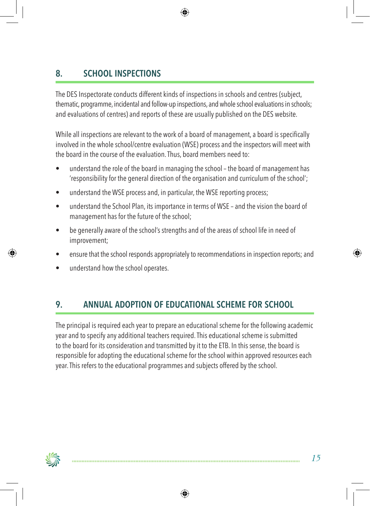# **8. School Inspections**

The DES Inspectorate conducts different kinds of inspections in schools and centres (subject, thematic, programme, incidental and follow-up inspections, and whole school evaluations in schools; and evaluations of centres) and reports of these are usually published on the DES website.

While all inspections are relevant to the work of a board of management, a board is specifically involved in the whole school/centre evaluation (WSE) process and the inspectors will meet with the board in the course of the evaluation. Thus, board members need to:

- understand the role of the board in managing the school the board of management has 'responsibility for the general direction of the organisation and curriculum of the school';
- understand the WSE process and, in particular, the WSE reporting process;
- understand the School Plan, its importance in terms of WSE and the vision the board of management has for the future of the school;
- be generally aware of the school's strengths and of the areas of school life in need of improvement;
- ensure that the school responds appropriately to recommendations in inspection reports; and
- understand how the school operates.

### **9. Annual Adoption of Educational Scheme for School**

The principal is required each year to prepare an educational scheme for the following academic year and to specify any additional teachers required. This educational scheme is submitted to the board for its consideration and transmitted by it to the ETB. In this sense, the board is responsible for adopting the educational scheme for the school within approved resources each year. This refers to the educational programmes and subjects offered by the school.

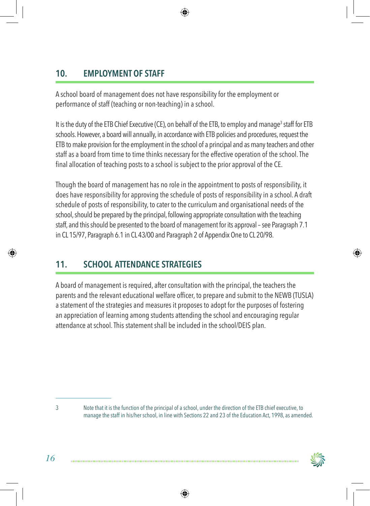## **10. Employment of Staff**

A school board of management does not have responsibility for the employment or performance of staff (teaching or non-teaching) in a school.

It is the duty of the ETB Chief Executive (CE), on behalf of the ETB, to employ and manage<sup>3</sup> staff for ETB schools. However, a board will annually, in accordance with ETB policies and procedures, request the ETB to make provision for the employment in the school of a principal and as many teachers and other staff as a board from time to time thinks necessary for the effective operation of the school. The final allocation of teaching posts to a school is subject to the prior approval of the CE.

Though the board of management has no role in the appointment to posts of responsibility, it does have responsibility for approving the schedule of posts of responsibility in a school. A draft schedule of posts of responsibility, to cater to the curriculum and organisational needs of the school, should be prepared by the principal, following appropriate consultation with the teaching staff, and this should be presented to the board of management for its approval – see Paragraph 7.1 in CL 15/97, Paragraph 6.1 in CL 43/00 and Paragraph 2 of Appendix One to CL 20/98.

## **11. School Attendance Strategies**

A board of management is required, after consultation with the principal, the teachers the parents and the relevant educational welfare officer, to prepare and submit to the NEWB (TUSLA) a statement of the strategies and measures it proposes to adopt for the purposes of fostering an appreciation of learning among students attending the school and encouraging regular attendance at school. This statement shall be included in the school/DEIS plan.

<sup>3</sup> Note that it is the function of the principal of a school, under the direction of the ETB chief executive, to manage the staff in his/her school, in line with Sections 22 and 23 of the Education Act, 1998, as amended.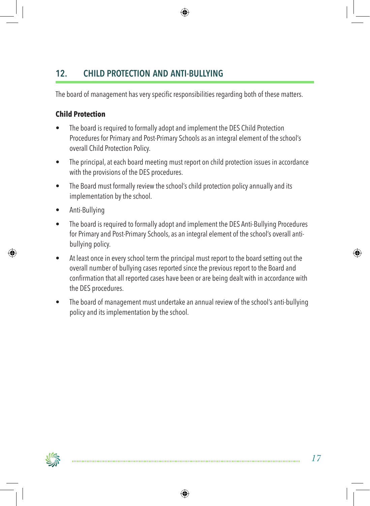## **12. Child Protection and Anti-Bullying**

The board of management has very specific responsibilities regarding both of these matters.

#### **Child Protection**

- The board is required to formally adopt and implement the DES Child Protection Procedures for Primary and Post-Primary Schools as an integral element of the school's overall Child Protection Policy.
- The principal, at each board meeting must report on child protection issues in accordance with the provisions of the DES procedures.
- The Board must formally review the school's child protection policy annually and its implementation by the school.
- Anti-Bullying
- The board is required to formally adopt and implement the DES Anti-Bullying Procedures for Primary and Post-Primary Schools, as an integral element of the school's overall antibullying policy.
- At least once in every school term the principal must report to the board setting out the overall number of bullying cases reported since the previous report to the Board and confirmation that all reported cases have been or are being dealt with in accordance with the DES procedures.
- The board of management must undertake an annual review of the school's anti-bullying policy and its implementation by the school.

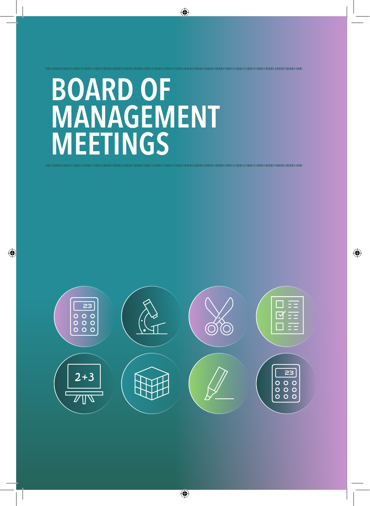# **Board of MANAGEMENT Meetings**

10000000000000000000000000000000000

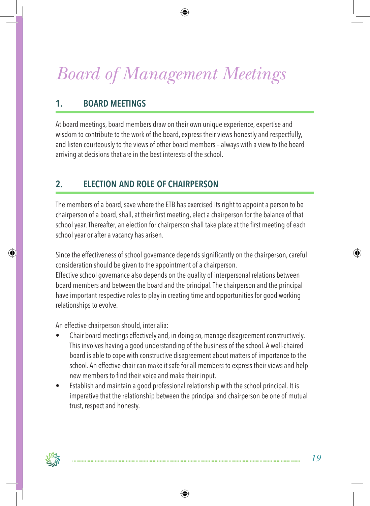# *Board of Management Meetings*

## **1. Board Meetings**

At board meetings, board members draw on their own unique experience, expertise and wisdom to contribute to the work of the board, express their views honestly and respectfully, and listen courteously to the views of other board members – always with a view to the board arriving at decisions that are in the best interests of the school.

## **2. Election and Role of Chairperson**

The members of a board, save where the ETB has exercised its right to appoint a person to be chairperson of a board, shall, at their first meeting, elect a chairperson for the balance of that school year. Thereafter, an election for chairperson shall take place at the first meeting of each school year or after a vacancy has arisen.

Since the effectiveness of school governance depends significantly on the chairperson, careful consideration should be given to the appointment of a chairperson.

Effective school governance also depends on the quality of interpersonal relations between board members and between the board and the principal. The chairperson and the principal have important respective roles to play in creating time and opportunities for good working relationships to evolve.

An effective chairperson should, inter alia:

- Chair board meetings effectively and, in doing so, manage disagreement constructively. This involves having a good understanding of the business of the school. A well-chaired board is able to cope with constructive disagreement about matters of importance to the school. An effective chair can make it safe for all members to express their views and help new members to find their voice and make their input.
- Establish and maintain a good professional relationship with the school principal. It is imperative that the relationship between the principal and chairperson be one of mutual trust, respect and honesty.

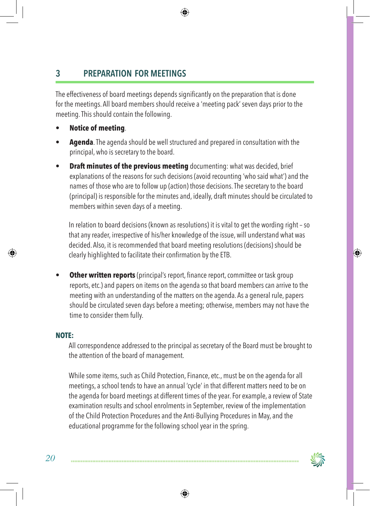# **3 Preparation for Meetings**

The effectiveness of board meetings depends significantly on the preparation that is done for the meetings. All board members should receive a 'meeting pack' seven days prior to the meeting. This should contain the following.

- **• Notice of meeting**.
- **• Agenda**. The agenda should be well structured and prepared in consultation with the principal, who is secretary to the board.
- **Draft minutes of the previous meeting** documenting: what was decided, brief explanations of the reasons for such decisions (avoid recounting 'who said what') and the names of those who are to follow up (action) those decisions. The secretary to the board (principal) is responsible for the minutes and, ideally, draft minutes should be circulated to members within seven days of a meeting.

In relation to board decisions (known as resolutions) it is vital to get the wording right – so that any reader, irrespective of his/her knowledge of the issue, will understand what was decided. Also, it is recommended that board meeting resolutions (decisions) should be clearly highlighted to facilitate their confirmation bythe ETB.

**• Other written reports** (principal's report, finance report, committee or task group reports, etc.) and papers on items on the agenda so that board members can arrive to the meeting with an understanding of the matters on the agenda. As a general rule, papers should be circulated seven days before a meeting; otherwise, members may not have the time to consider them fully.

#### **Note:**

All correspondence addressed to the principal as secretary of the Board must be brought to the attention of the board of management.

While some items, such as Child Protection, Finance, etc., must be on the agenda for all meetings, a school tends to have an annual 'cycle' in that different matters need to be on the agenda for board meetings at different times of the year. For example, a review of State examination results and school enrolments in September, review of the implementation of the Child Protection Procedures and the Anti-Bullying Procedures in May, and the educational programme for the following school year in the spring.

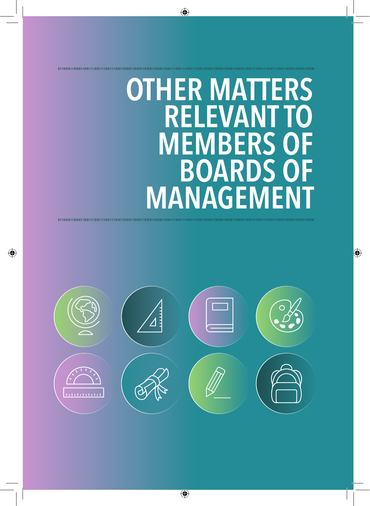# **Other Matters Relevant to MEMBERS O Boards of MANAGEMENT**

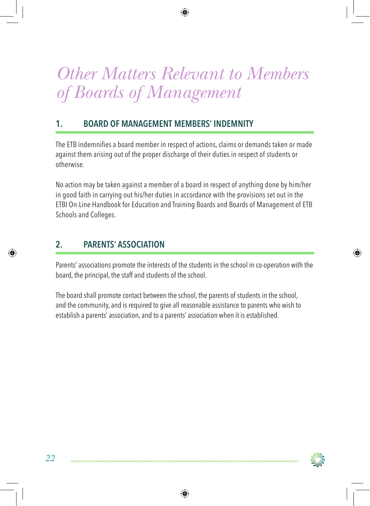# *Other Matters Relevant to Members of Boards of Management*

### **1. Board of Management Members' Indemnity**

The ETB indemnifies a board member in respect of actions, claims or demands taken or made against them arising out of the proper discharge of their duties in respect of students or otherwise.

No action may be taken against a member of a board in respect of anything done by him/her in good faith in carrying out his/her duties in accordance with the provisions set out in the ETBI On-Line Handbook for Education and Training Boards and Boards of Management of ETB Schools and Colleges.

## **2. Parents' Association**

Parents' associations promote the interests of the students in the school in co-operation with the board, the principal, the staff and students of the school.

The board shall promote contact between the school, the parents of students in the school, and the community, and is required to give all reasonable assistance to parents who wish to establish a parents' association, and to a parents' association when it is established.

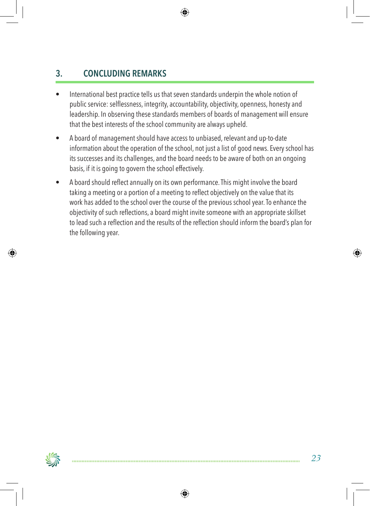# **3. Concluding Remarks**

- International best practice tells us that seven standards underpin the whole notion of public service: selflessness, integrity, accountability, objectivity, openness, honesty and leadership. In observing these standards members of boards of management will ensure that the best interests of the school community are always upheld.
- A board of management should have access to unbiased, relevant and up-to-date information about the operation of the school, not just a list of good news. Every school has its successes and its challenges, and the board needs to be aware of both on an ongoing basis, if it is going to govern the school effectively.
- • A board should reflect annually on its own performance.This might involve the board taking a meeting or a portion of a meeting to reflect objectively on the value that its work has added to the school over the course of the previous school year. To enhance the objectivity of such reflections, a board might invite someone with an appropriate skillset to lead such a reflection and the results of the reflection should inform the board's plan for the following year.

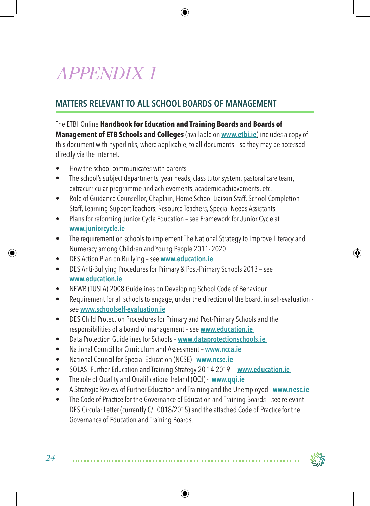# *APPENDIX 1*

## **Matters Relevant to All School Boards of Management**

The ETBI Online **Handbook for Education and Training Boards and Boards of** 

**Management of ETB Schools and Colleges** (available on **www.etbi.ie**) includes a copy of this document with hyperlinks, where applicable, to all documents – so they may be accessed directly via the Internet.

- How the school communicates with parents
- The school's subject departments, year heads, class tutor system, pastoral care team, extracurricular programme and achievements, academic achievements, etc.
- Role of Guidance Counsellor, Chaplain, Home School Liaison Staff, School Completion Staff, Learning Support Teachers, Resource Teachers, Special Needs Assistants
- Plans for reforming Junior Cycle Education see Framework for Junior Cycle at **www.juniorcycle.ie**
- The requirement on schools to implement The National Strategy to Improve Literacy and Numeracy among Children and Young People 2011- 2020
- • DES Action Plan on Bullying see **www.education.ie**
- DES Anti-Bullying Procedures for Primary & Post-Primary Schools 2013 see **www.education.ie**
- NEWB (TUSLA) 2008 Guidelines on Developing School Code of Behaviour
- Requirement for all schools to engage, under the direction of the board, in self-evaluation see **www.schoolself-evaluation.ie**
- DES Child Protection Procedures for Primary and Post-Primary Schools and the responsibilities of a board of management – see **www.education.ie**
- • Data Protection Guidelines for Schools **www.dataprotectionschools.ie**
- • National Council for Curriculum and Assessment **www.ncca.ie**
- • National Council for Special Education (NCSE) **www.ncse.ie**
- • SOLAS: Further Education and Training Strategy 20 14-2019 **www.education.ie**
- • The role of Quality and Qualifications Ireland (QQI) - **www.qqi.ie**
- A Strategic Review of Further Education and Training and the Unemployed **www.nesc.ie**
- The Code of Practice for the Governance of Education and Training Boards see relevant DES Circular Letter (currently C/L 0018/2015) and the attached Code of Practice for the Governance of Education and Training Boards.

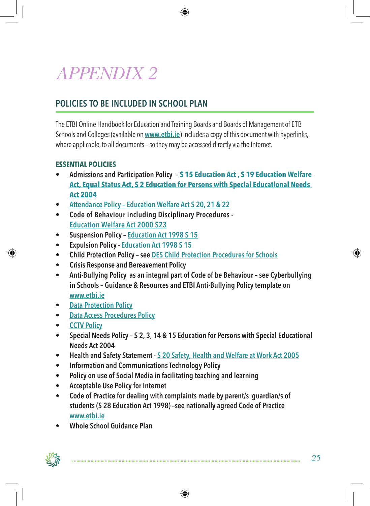# *APPENDIX 2*

## **Policies to be included in School Plan**

The ETBI Online Handbook for Education and Training Boards and Boards of Management of ETB Schools and Colleges (available on **www.etbi.ie**) includes a copy of this document with hyperlinks, where applicable, to all documents - so they may be accessed directly via the Internet.

#### **Essential policies**

- **• Admissions and Participation Policy S 15 Education Act , S 19 Education Welfare Act, Equal Status Act, S 2 Education for Persons with Special Educational Needs Act 2004**
- **• Attendance Policy Education Welfare Act S 20, 21 & 22**
- **Code of Behaviour including Disciplinary Procedures -Education Welfare Act 2000 S23**
- **• Suspension Policy Education Act 1998 S 15**
- **• Expulsion Policy Education Act 1998 S 15**
- **• Child Protection Policy see DES Child Protection Procedures for Schools**
- **• Crisis Response and Bereavement Policy**
- **• Anti-Bullying Policy as an integral part of Code of be Behaviour see Cyberbullying in Schools – Guidance & Resources and ETBI Anti-Bullying Policy template on www.etbi.ie**
- **• Data Protection Policy**
- **• Data Access Procedures Policy**
- **• CCTV Policy**
- **• Special Needs Policy S 2, 3, 14 & 15 Education for Persons with Special Educational Needs Act 2004**
- **• Health and Safety Statement S 20 Safety, Health and Welfare at Work Act 2005**
- **• Information and Communications Technology Policy**
- **• Policy on use of Social Media in facilitating teaching and learning**
- **• Acceptable Use Policy for Internet**
- **• Code of Practice for dealing with complaints made by parent/s guardian/s of students (S 28 Education Act 1998) –see nationally agreed Code of Practice www.etbi.ie**
- **• Whole School Guidance Plan**

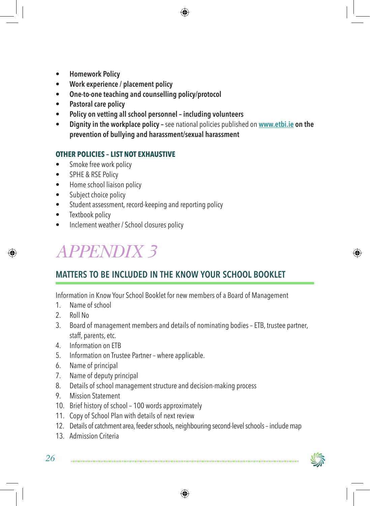- **• Homework Policy**
- **• Work experience / placement policy**
- **• One-to-one teaching and counselling policy/protocol**
- **• Pastoral care policy**
- **• Policy on vetting all school personnel including volunteers**
- **•** Dignity in the workplace policy see national policies published on www.etbi.ie on the **prevention of bullying and harassment/sexual harassment**

#### **Other Policies – list not exhaustive**

- Smoke free work policy
- SPHE & RSE Policy
- Home school liaison policy
- Subject choice policy
- Student assessment, record-keeping and reporting policy
- Textbook policy
- Inclement weather / School closures policy

# *APPENDIX 3*

## **Matters to be included in the Know Your School booklet**

Information in Know Your School Booklet for new members of a Board of Management

- 1. Name of school
- 2. Roll No
- 3. Board of management members and details of nominating bodies ETB, trustee partner, staff, parents, etc.
- 4. Information on ETB
- 5. Information on Trustee Partner where applicable.
- 6. Name of principal
- 7. Name of deputy principal
- 8. Details of school management structure and decision-making process
- 9. Mission Statement
- 10. Brief history of school 100 words approximately
- 11. Copy of School Plan with details of next review
- 12. Details of catchment area, feeder schools, neighbouring second-level schools include map
- 13. Admission Criteria

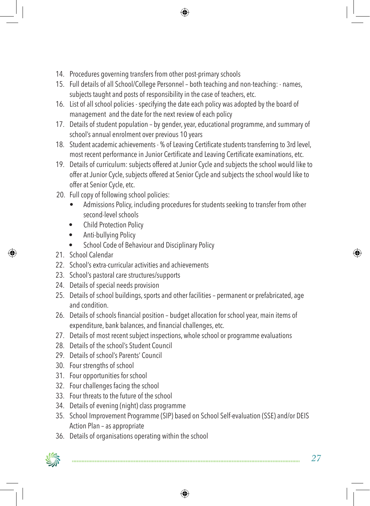- 14. Procedures governing transfers from other post-primary schools
- 15. Full details of all School/College Personnel both teaching and non-teaching: names, subjects taught and posts of responsibility in the case of teachers, etc.
- 16. List of all school policies specifying the date each policy was adopted by the board of management and the date for the next review of each policy
- 17. Details of student population by gender, year, educational programme, and summary of school's annual enrolment over previous 10 years
- 18. Student academic achievements % of Leaving Certificate students transferring to 3rd level, most recent performance in Junior Certificate and Leaving Certificate examinations, etc.
- 19. Details of curriculum: subjects offered at Junior Cycle and subjects the school would like to offer at Junior Cycle, subjects offered at Senior Cycle and subjects the school would like to offer at Senior Cycle, etc.
- 20. Full copy of following school policies:
	- Admissions Policy, including procedures for students seeking to transfer from other second-level schools
	- **Child Protection Policy**
	- Anti-bullying Policy
	- School Code of Behaviour and Disciplinary Policy
- 21 School Calendar
- 22. School's extra-curricular activities and achievements
- 23. School's pastoral care structures/supports
- 24. Details of special needs provision
- 25. Details of school buildings, sports and other facilities permanent or prefabricated, age and condition.
- 26. Details of schools financial position budget allocation for school year, main items of expenditure, bank balances, and financial challenges, etc.
- 27. Details of most recent subject inspections, whole school or programme evaluations
- 28. Details of the school's Student Council
- 29. Details of school's Parents' Council
- 30. Four strengths of school
- 31. Four opportunities for school
- 32. Four challenges facing the school
- 33. Four threats to the future of the school
- 34. Details of evening (night) class programme
- 35. School Improvement Programme (SIP) based on School Self-evaluation (SSE) and/or DEIS Action Plan – as appropriate
- 36. Details of organisations operating within the school